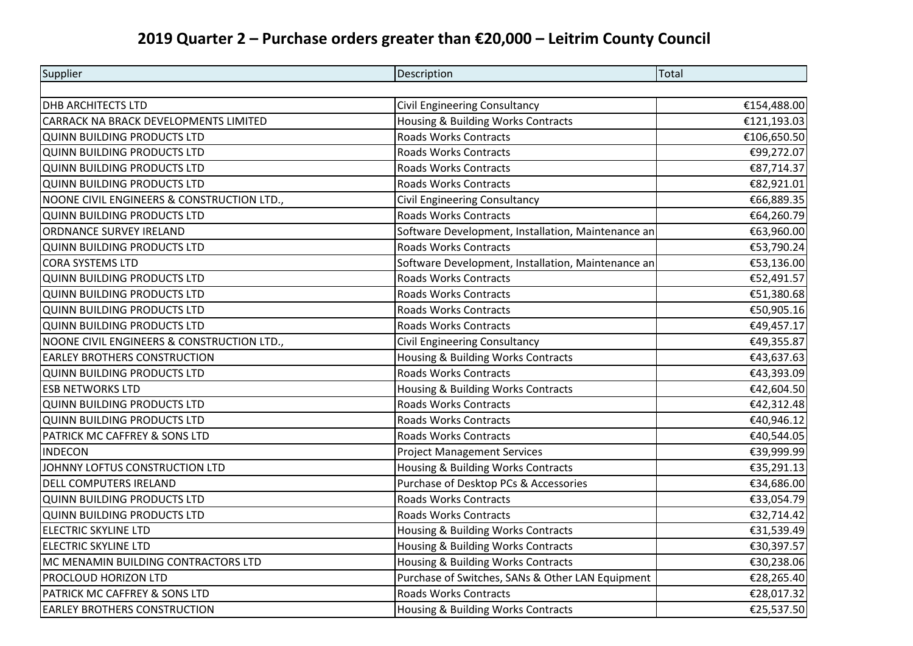## **2019 Quarter 2 – Purchase orders greater than €20,000 – Leitrim County Council**

| Supplier                                   | Description                                        | <b>Total</b> |
|--------------------------------------------|----------------------------------------------------|--------------|
|                                            |                                                    |              |
| <b>DHB ARCHITECTS LTD</b>                  | Civil Engineering Consultancy                      | €154,488.00  |
| CARRACK NA BRACK DEVELOPMENTS LIMITED      | Housing & Building Works Contracts                 | €121,193.03  |
| <b>QUINN BUILDING PRODUCTS LTD</b>         | <b>Roads Works Contracts</b>                       | €106,650.50  |
| QUINN BUILDING PRODUCTS LTD                | <b>Roads Works Contracts</b>                       | €99,272.07   |
| QUINN BUILDING PRODUCTS LTD                | Roads Works Contracts                              | €87,714.37   |
| <b>QUINN BUILDING PRODUCTS LTD</b>         | <b>Roads Works Contracts</b>                       | €82,921.01   |
| NOONE CIVIL ENGINEERS & CONSTRUCTION LTD., | Civil Engineering Consultancy                      | €66,889.35   |
| QUINN BUILDING PRODUCTS LTD                | <b>Roads Works Contracts</b>                       | €64,260.79   |
| ORDNANCE SURVEY IRELAND                    | Software Development, Installation, Maintenance an | €63,960.00   |
| <b>QUINN BUILDING PRODUCTS LTD</b>         | <b>Roads Works Contracts</b>                       | €53,790.24   |
| <b>CORA SYSTEMS LTD</b>                    | Software Development, Installation, Maintenance an | €53,136.00   |
| <b>QUINN BUILDING PRODUCTS LTD</b>         | <b>Roads Works Contracts</b>                       | €52,491.57   |
| QUINN BUILDING PRODUCTS LTD                | <b>Roads Works Contracts</b>                       | €51,380.68   |
| <b>QUINN BUILDING PRODUCTS LTD</b>         | Roads Works Contracts                              | €50,905.16   |
| <b>QUINN BUILDING PRODUCTS LTD</b>         | <b>Roads Works Contracts</b>                       | €49,457.17   |
| NOONE CIVIL ENGINEERS & CONSTRUCTION LTD., | Civil Engineering Consultancy                      | €49,355.87   |
| <b>EARLEY BROTHERS CONSTRUCTION</b>        | Housing & Building Works Contracts                 | €43,637.63   |
| <b>QUINN BUILDING PRODUCTS LTD</b>         | <b>Roads Works Contracts</b>                       | €43,393.09   |
| <b>ESB NETWORKS LTD</b>                    | Housing & Building Works Contracts                 | €42,604.50   |
| QUINN BUILDING PRODUCTS LTD                | <b>Roads Works Contracts</b>                       | €42,312.48   |
| <b>QUINN BUILDING PRODUCTS LTD</b>         | <b>Roads Works Contracts</b>                       | €40,946.12   |
| PATRICK MC CAFFREY & SONS LTD              | <b>Roads Works Contracts</b>                       | €40,544.05   |
| <b>INDECON</b>                             | <b>Project Management Services</b>                 | €39,999.99   |
| JOHNNY LOFTUS CONSTRUCTION LTD             | Housing & Building Works Contracts                 | €35,291.13   |
| <b>DELL COMPUTERS IRELAND</b>              | Purchase of Desktop PCs & Accessories              | €34,686.00   |
| <b>QUINN BUILDING PRODUCTS LTD</b>         | <b>Roads Works Contracts</b>                       | €33,054.79   |
| <b>QUINN BUILDING PRODUCTS LTD</b>         | Roads Works Contracts                              | €32,714.42   |
| <b>ELECTRIC SKYLINE LTD</b>                | Housing & Building Works Contracts                 | €31,539.49   |
| <b>ELECTRIC SKYLINE LTD</b>                | Housing & Building Works Contracts                 | €30,397.57   |
| MC MENAMIN BUILDING CONTRACTORS LTD        | Housing & Building Works Contracts                 | €30,238.06   |
| PROCLOUD HORIZON LTD                       | Purchase of Switches, SANs & Other LAN Equipment   | €28,265.40   |
| PATRICK MC CAFFREY & SONS LTD              | <b>Roads Works Contracts</b>                       | €28,017.32   |
| <b>EARLEY BROTHERS CONSTRUCTION</b>        | Housing & Building Works Contracts                 | €25,537.50   |